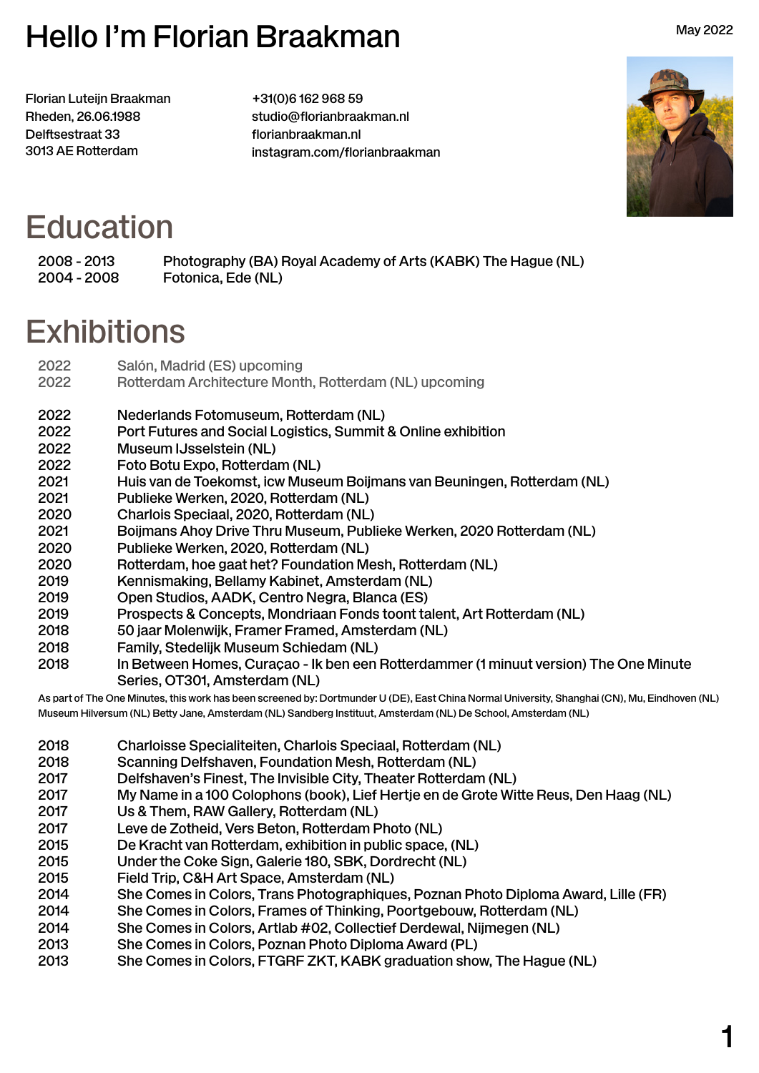# Hello I'm Florian Braakman

Florian Luteijn Braakman Rheden, 26.06.1988 Delftsestraat 33 3013 AE Rotterdam

+31(0)6 162 968 59 [studio@florianbraakman.nl](mailto:studio%40florianbraakman.nl?subject=Hello%20Florian) [florianbraakman.nl](http://florianbraakman.nl) [instagram.com/florianbraakman](http://instagram.com/florianbraakman)



May 2022

#### **Education**

2008 - 2013 Photography (BA) Royal Academy of Arts (KABK) The Hague (NL) 2004 - 2008 Fotonica, Ede (NL)

#### **Exhibitions**

| 2022<br>2022 | Salón, Madrid (ES) upcoming<br>Rotterdam Architecture Month, Rotterdam (NL) upcoming     |
|--------------|------------------------------------------------------------------------------------------|
| 2022<br>2022 | Nederlands Fotomuseum, Rotterdam (NL)                                                    |
| 2022         | Port Futures and Social Logistics, Summit & Online exhibition<br>Museum IJsselstein (NL) |
| 2022         | Foto Botu Expo, Rotterdam (NL)                                                           |
| 2021         | Huis van de Toekomst, icw Museum Boijmans van Beuningen, Rotterdam (NL)                  |
| 2021         | Publieke Werken, 2020, Rotterdam (NL)                                                    |
| 2020         | Charlois Speciaal, 2020, Rotterdam (NL)                                                  |
| 2021         | Boijmans Ahoy Drive Thru Museum, Publieke Werken, 2020 Rotterdam (NL)                    |
| 2020         | Publieke Werken, 2020, Rotterdam (NL)                                                    |
| 2020         | Rotterdam, hoe gaat het? Foundation Mesh, Rotterdam (NL)                                 |
| 2019         | Kennismaking, Bellamy Kabinet, Amsterdam (NL)                                            |
| 2019         | Open Studios, AADK, Centro Negra, Blanca (ES)                                            |
| 2019         | Prospects & Concepts, Mondriaan Fonds toont talent, Art Rotterdam (NL)                   |
| 2018         | 50 jaar Molenwijk, Framer Framed, Amsterdam (NL)                                         |
| 2018         | Family, Stedelijk Museum Schiedam (NL)                                                   |
| 2018         | In Between Homes, Curaçao - Ik ben een Rotterdammer (1 minuut version) The One Minute    |
|              | Series, OT301, Amsterdam (NL)                                                            |

As part of The One Minutes, this work has been screened by: Dortmunder U (DE), East China Normal University, Shanghai (CN), Mu, Eindhoven (NL) Museum Hilversum (NL) Betty Jane, Amsterdam (NL) Sandberg Instituut, Amsterdam (NL) De School, Amsterdam (NL)

- 2018 Charloisse Specialiteiten, Charlois Speciaal, Rotterdam (NL)
- 2018 Scanning Delfshaven, Foundation Mesh, Rotterdam (NL)
- 2017 Delfshaven's Finest, The Invisible City, Theater Rotterdam (NL)
- 2017 My Name in a 100 Colophons (book), Lief Hertje en de Grote Witte Reus, Den Haag (NL)
- 2017 Us & Them, RAW Gallery, Rotterdam (NL)
- 2017 Leve de Zotheid, Vers Beton, Rotterdam Photo (NL)
- 2015 De Kracht van Rotterdam, exhibition in public space, (NL)
- 2015 Under the Coke Sign, Galerie 180, SBK, Dordrecht (NL)
- 2015 Field Trip, C&H Art Space, Amsterdam (NL)
- 2014 She Comes in Colors, Trans Photographiques, Poznan Photo Diploma Award, Lille (FR)
- 2014 She Comes in Colors, Frames of Thinking, Poortgebouw, Rotterdam (NL)
- 2014 She Comes in Colors, Artlab #02, Collectief Derdewal, Nijmegen (NL)
- 2013 She Comes in Colors, Poznan Photo Diploma Award (PL)
- 2013 She Comes in Colors, FTGRF ZKT, KABK graduation show, The Hague (NL)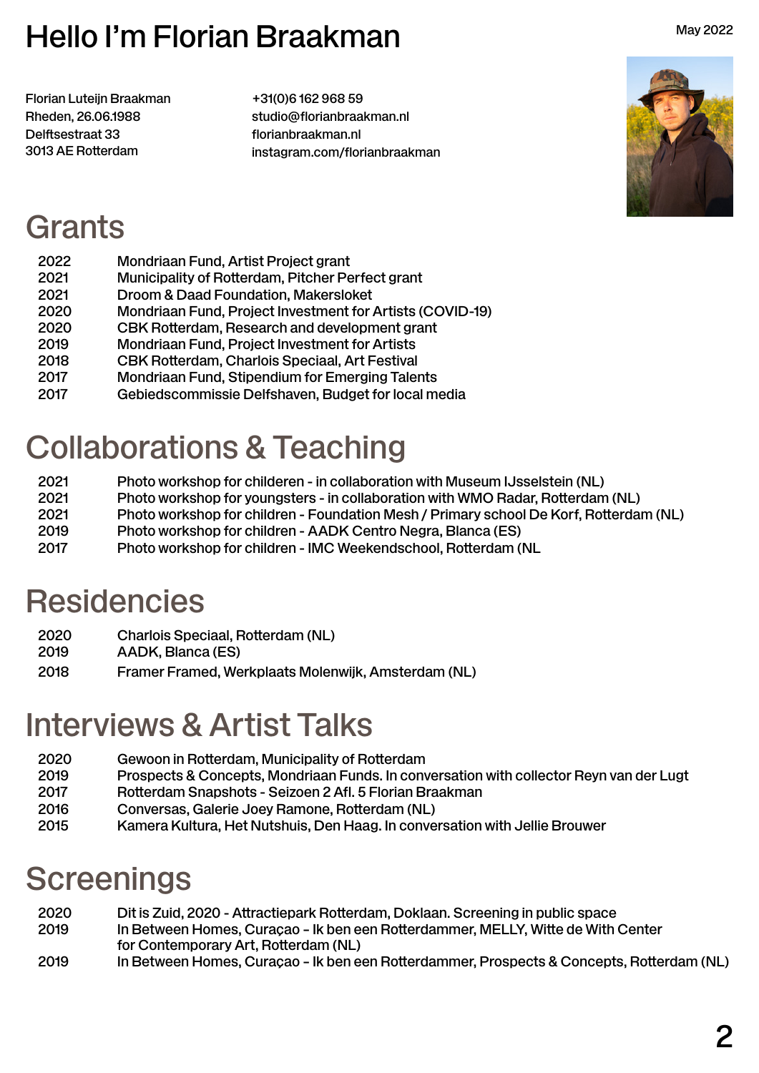## Hello I'm Florian Braakman

Florian Luteijn Braakman Rheden, 26.06.1988 Delftsestraat 33 3013 AE Rotterdam

+31(0)6 162 968 59 [studio@florianbraakman.nl](mailto:studio%40florianbraakman.nl?subject=Hello%20Florian) [florianbraakman.nl](http://florianbraakman.nl) [instagram.com/florianbraakman](http://instagram.com/florianbraakman)



May 2022

#### Grants

| Mondriaan Fund, Artist Project grant                      |
|-----------------------------------------------------------|
| Municipality of Rotterdam, Pitcher Perfect grant          |
| Droom & Daad Foundation, Makersloket                      |
| Mondriaan Fund, Project Investment for Artists (COVID-19) |
| CBK Rotterdam, Research and development grant             |
| Mondriaan Fund, Project Investment for Artists            |
| CBK Rotterdam, Charlois Speciaal, Art Festival            |
| Mondriaan Fund, Stipendium for Emerging Talents           |
| Gebiedscommissie Delfshaven, Budget for local media       |
|                                                           |

# Collaborations & Teaching

- 2021 Photo workshop for childeren in collaboration with Museum IJsselstein (NL)
- 2021 Photo workshop for youngsters in collaboration with WMO Radar, Rotterdam (NL)
- 2021 Photo workshop for children Foundation Mesh / Primary school De Korf, Rotterdam (NL)
- 2019 Photo workshop for children AADK Centro Negra, Blanca (ES)
- 2017 Photo workshop for children IMC Weekendschool, Rotterdam (NL

# **Residencies**

- 2020 Charlois Speciaal, Rotterdam (NL)
- 2019 AADK, Blanca (ES)
- 2018 Framer Framed, Werkplaats Molenwijk, Amsterdam (NL)

# Interviews & Artist Talks

- 2020 Gewoon in Rotterdam, Municipality of Rotterdam
- 2019 Prospects & Concepts, Mondriaan Funds. In conversation with collector Reyn van der Lugt
- 2017 Rotterdam Snapshots Seizoen 2 Afl. 5 Florian Braakman
- 2016 Conversas, Galerie Joey Ramone, Rotterdam (NL)
- 2015 Kamera Kultura, Het Nutshuis, Den Haag. In conversation with Jellie Brouwer

# **Screenings**

- 2020 Dit is Zuid, 2020 Attractiepark Rotterdam, Doklaan. Screening in public space 2019 In Between Homes, Curaçao – Ik ben een Rotterdammer, MELLY, Witte de With Center for Contemporary Art, Rotterdam (NL)
- 2019 In Between Homes, Curaçao Ik ben een Rotterdammer, Prospects & Concepts, Rotterdam (NL)